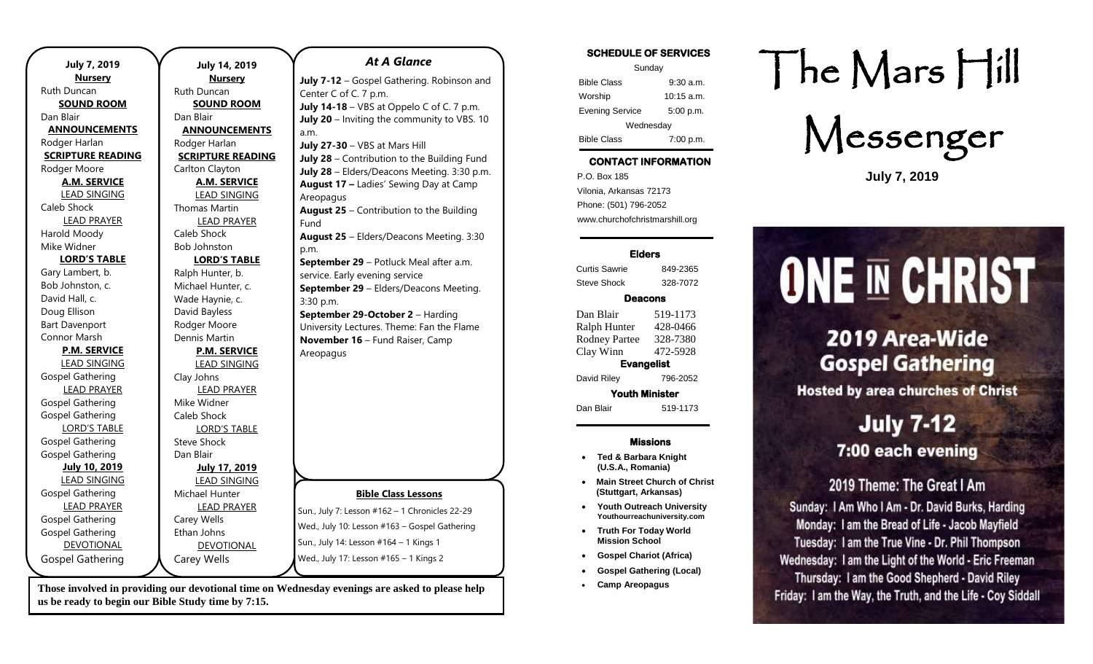| <b>July 7, 2019</b>      | <b>July 14, 2019</b>     | <b>At A Glance</b>                              |
|--------------------------|--------------------------|-------------------------------------------------|
| <b>Nursery</b>           | <b>Nursery</b>           | July 7-12 - Gospel Gathering. Robinson and      |
| Ruth Duncan              | Ruth Duncan              | Center C of C. 7 p.m.                           |
| <b>SOUND ROOM</b>        | <b>SOUND ROOM</b>        | July 14-18 - VBS at Oppelo C of C. 7 p.m.       |
| Dan Blair                | Dan Blair                | July 20 - Inviting the community to VBS. 10     |
| <b>ANNOUNCEMENTS</b>     | <b>ANNOUNCEMENTS</b>     | a.m.                                            |
| Rodger Harlan            | Rodger Harlan            | July 27-30 - VBS at Mars Hill                   |
| <b>SCRIPTURE READING</b> | <b>SCRIPTURE READING</b> | July 28 - Contribution to the Building Fund     |
| Rodger Moore             | Carlton Clayton          | July 28 - Elders/Deacons Meeting. 3:30 p.m.     |
| <b>A.M. SERVICE</b>      | <b>A.M. SERVICE</b>      | August 17 - Ladies' Sewing Day at Camp          |
| <b>LEAD SINGING</b>      | <b>LEAD SINGING</b>      | Areopagus                                       |
| Caleb Shock              | <b>Thomas Martin</b>     | <b>August 25</b> - Contribution to the Building |
| <b>LEAD PRAYER</b>       | <b>LEAD PRAYER</b>       | Fund                                            |
| Harold Moody             | Caleb Shock              | August 25 - Elders/Deacons Meeting. 3:30        |
| Mike Widner              | <b>Bob Johnston</b>      | p.m.                                            |
| <b>LORD'S TABLE</b>      | <b>LORD'S TABLE</b>      | September 29 - Potluck Meal after a.m.          |
| Gary Lambert, b.         | Ralph Hunter, b.         | service. Early evening service                  |
| Bob Johnston, c.         | Michael Hunter, c.       | September 29 - Elders/Deacons Meeting.          |
| David Hall, c.           | Wade Haynie, c.          | 3:30 p.m.                                       |
| Doug Ellison             | David Bayless            | September 29-October 2 - Harding                |
| <b>Bart Davenport</b>    | Rodger Moore             | University Lectures. Theme: Fan the Flame       |
| Connor Marsh             | Dennis Martin            | November 16 - Fund Raiser, Camp                 |
| <b>P.M. SERVICE</b>      | <b>P.M. SERVICE</b>      | Areopagus                                       |
| <b>LEAD SINGING</b>      | <b>LEAD SINGING</b>      |                                                 |
| <b>Gospel Gathering</b>  | Clay Johns               |                                                 |
| <b>LEAD PRAYER</b>       | <b>LEAD PRAYER</b>       |                                                 |
| <b>Gospel Gathering</b>  | Mike Widner              |                                                 |
| <b>Gospel Gathering</b>  | Caleb Shock              |                                                 |
| <b>LORD'S TABLE</b>      | <b>LORD'S TABLE</b>      |                                                 |
| <b>Gospel Gathering</b>  | <b>Steve Shock</b>       |                                                 |
| <b>Gospel Gathering</b>  | Dan Blair                |                                                 |
| <b>July 10, 2019</b>     | <b>July 17, 2019</b>     |                                                 |
| <b>LEAD SINGING</b>      | <b>LEAD SINGING</b>      |                                                 |
| <b>Gospel Gathering</b>  | Michael Hunter           | <b>Bible Class Lessons</b>                      |
| <b>LEAD PRAYER</b>       | <b>LEAD PRAYER</b>       | Sun., July 7: Lesson #162 - 1 Chronicles 22-29  |
| Gospel Gathering         | Carey Wells              | Wed., July 10: Lesson #163 - Gospel Gathering   |
| <b>Gospel Gathering</b>  | Ethan Johns              |                                                 |
| <b>DEVOTIONAL</b>        | DEVOTIONAL               | Sun., July 14: Lesson #164 - 1 Kings 1          |
| <b>Gospel Gathering</b>  | Carey Wells              | Wed., July 17: Lesson #165 - 1 Kings 2          |
|                          |                          |                                                 |

**Those involved in providing our devotional time on Wednesday evenings are asked to please help us be ready to begin our Bible Study time by 7:15.** 

#### **SCHEDULE OF SERVICES**

| Sunday                 |              |  |  |
|------------------------|--------------|--|--|
| <b>Bible Class</b>     | $9:30$ a.m.  |  |  |
| Worship                | $10:15$ a.m. |  |  |
| <b>Evening Service</b> | 5:00 p.m.    |  |  |
| Wednesday              |              |  |  |
| <b>Bible Class</b>     | 7:00 p.m.    |  |  |

# **CONTACT INFORMATION**

. .o. Box 166<br>Vilonia, Arkansas 72173 P.O. Box 185 Phone: (501) 796-2052 www.churchofchristmarshill.org

#### **Elders**

Curtis Sawrie 849-2365 Steve Shock 328-7072

#### **Deacons**

Dan Blair 519-1173 Ralph Hunter 428-0466 Rodney Partee 328-7380 Clay Winn 472-5928 **Evangelist** 

David Riley 796-2052

**Youth Minister**  Dan Blair 519-1173

#### **Missions**

- **Ted & Barbara Knight (U.S.A., Romania)**
- **Main Street Church of Christ (Stuttgart, Arkansas)**
- **Youth Outreach University Youthourreachuniversity.com**
- **Truth For Today World Mission School**
- **Gospel Chariot (Africa)**
- **Gospel Gathering (Local)**
- **Camp Areopagus**

# The Mars Hill

Messenger

**July 7, 2019**

# **ONE IN CHRIST**

# 2019 Area-Wide **Gospel Gathering**

**Hosted by area churches of Christ** 

# **July 7-12** 7:00 each evening

# 2019 Theme: The Great I Am

Sunday: I Am Who I Am - Dr. David Burks, Harding Monday: I am the Bread of Life - Jacob Mayfield Tuesday: I am the True Vine - Dr. Phil Thompson Wednesday: I am the Light of the World - Eric Freeman Thursday: I am the Good Shepherd - David Riley Friday: I am the Way, the Truth, and the Life - Coy Siddall